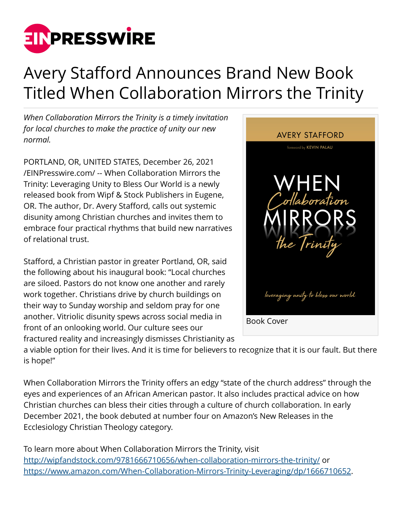

## Avery Stafford Announces Brand New Book Titled When Collaboration Mirrors the Trinity

*When Collaboration Mirrors the Trinity is a timely invitation for local churches to make the practice of unity our new normal.*

PORTLAND, OR, UNITED STATES, December 26, 2021 [/EINPresswire.com/](http://www.einpresswire.com) -- When Collaboration Mirrors the Trinity: Leveraging Unity to Bless Our World is a newly released book from Wipf & Stock Publishers in Eugene, OR. The author, Dr. Avery Stafford, calls out systemic disunity among Christian churches and invites them to embrace four practical rhythms that build new narratives of relational trust.

Stafford, a Christian pastor in greater Portland, OR, said the following about his inaugural book: "Local churches are siloed. Pastors do not know one another and rarely work together. Christians drive by church buildings on their way to Sunday worship and seldom pray for one another. Vitriolic disunity spews across social media in front of an onlooking world. Our culture sees our fractured reality and increasingly dismisses Christianity as



a viable option for their lives. And it is time for believers to recognize that it is our fault. But there is hope!"

When Collaboration Mirrors the Trinity offers an edgy "state of the church address" through the eyes and experiences of an African American pastor. It also includes practical advice on how Christian churches can bless their cities through a culture of church collaboration. In early December 2021, the book debuted at number four on Amazon's New Releases in the Ecclesiology Christian Theology category.

To learn more about When Collaboration Mirrors the Trinity, visit <http://wipfandstock.com/9781666710656/when-collaboration-mirrors-the-trinity/> or [https://www.amazon.com/When-Collaboration-Mirrors-Trinity-Leveraging/dp/1666710652.](https://www.amazon.com/When-Collaboration-Mirrors-Trinity-Leveraging/dp/1666710652)